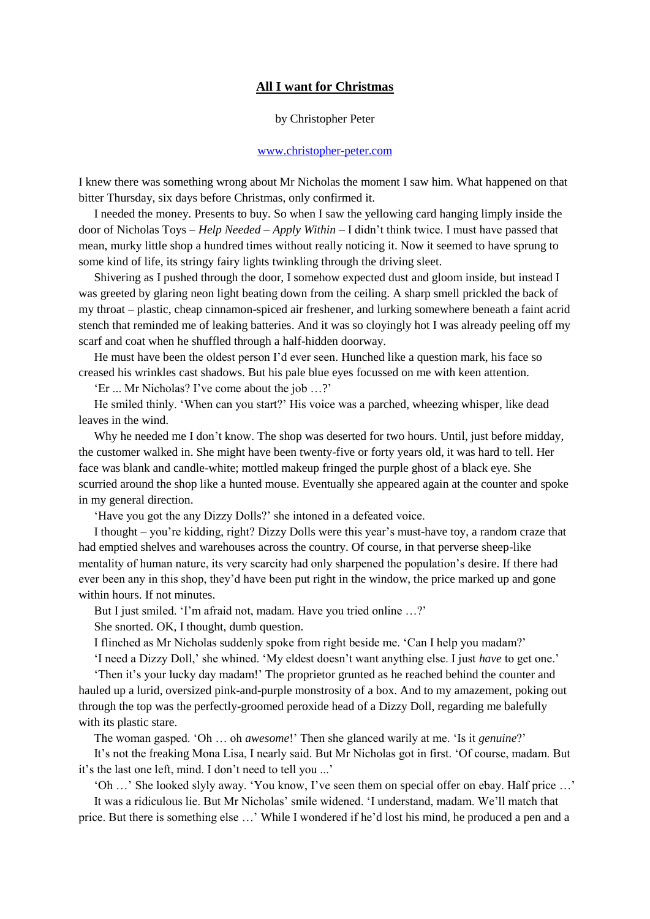## **All I want for Christmas**

## by Christopher Peter

## [www.christopher-peter.com](http://www.christopher-peter.com/)

I knew there was something wrong about Mr Nicholas the moment I saw him. What happened on that bitter Thursday, six days before Christmas, only confirmed it.

I needed the money. Presents to buy. So when I saw the yellowing card hanging limply inside the door of Nicholas Toys – *Help Needed – Apply Within* – I didn't think twice. I must have passed that mean, murky little shop a hundred times without really noticing it. Now it seemed to have sprung to some kind of life, its stringy fairy lights twinkling through the driving sleet.

Shivering as I pushed through the door, I somehow expected dust and gloom inside, but instead I was greeted by glaring neon light beating down from the ceiling. A sharp smell prickled the back of my throat – plastic, cheap cinnamon-spiced air freshener, and lurking somewhere beneath a faint acrid stench that reminded me of leaking batteries. And it was so cloyingly hot I was already peeling off my scarf and coat when he shuffled through a half-hidden doorway.

He must have been the oldest person I'd ever seen. Hunched like a question mark, his face so creased his wrinkles cast shadows. But his pale blue eyes focussed on me with keen attention.

'Er ... Mr Nicholas? I've come about the job …?'

He smiled thinly. 'When can you start?' His voice was a parched, wheezing whisper, like dead leaves in the wind.

Why he needed me I don't know. The shop was deserted for two hours. Until, just before midday, the customer walked in. She might have been twenty-five or forty years old, it was hard to tell. Her face was blank and candle-white; mottled makeup fringed the purple ghost of a black eye. She scurried around the shop like a hunted mouse. Eventually she appeared again at the counter and spoke in my general direction.

'Have you got the any Dizzy Dolls?' she intoned in a defeated voice.

I thought – you're kidding, right? Dizzy Dolls were this year's must-have toy, a random craze that had emptied shelves and warehouses across the country. Of course, in that perverse sheep-like mentality of human nature, its very scarcity had only sharpened the population's desire. If there had ever been any in this shop, they'd have been put right in the window, the price marked up and gone within hours. If not minutes.

But I just smiled. 'I'm afraid not, madam. Have you tried online ...?'

She snorted. OK, I thought, dumb question.

I flinched as Mr Nicholas suddenly spoke from right beside me. 'Can I help you madam?'

'I need a Dizzy Doll,' she whined. 'My eldest doesn't want anything else. I just *have* to get one.'

'Then it's your lucky day madam!' The proprietor grunted as he reached behind the counter and hauled up a lurid, oversized pink-and-purple monstrosity of a box. And to my amazement, poking out through the top was the perfectly-groomed peroxide head of a Dizzy Doll, regarding me balefully with its plastic stare.

The woman gasped. 'Oh … oh *awesome*!' Then she glanced warily at me. 'Is it *genuine*?'

It's not the freaking Mona Lisa, I nearly said. But Mr Nicholas got in first. 'Of course, madam. But it's the last one left, mind. I don't need to tell you ...'

'Oh …' She looked slyly away. 'You know, I've seen them on special offer on ebay. Half price …'

It was a ridiculous lie. But Mr Nicholas' smile widened. 'I understand, madam. We'll match that price. But there is something else …' While I wondered if he'd lost his mind, he produced a pen and a